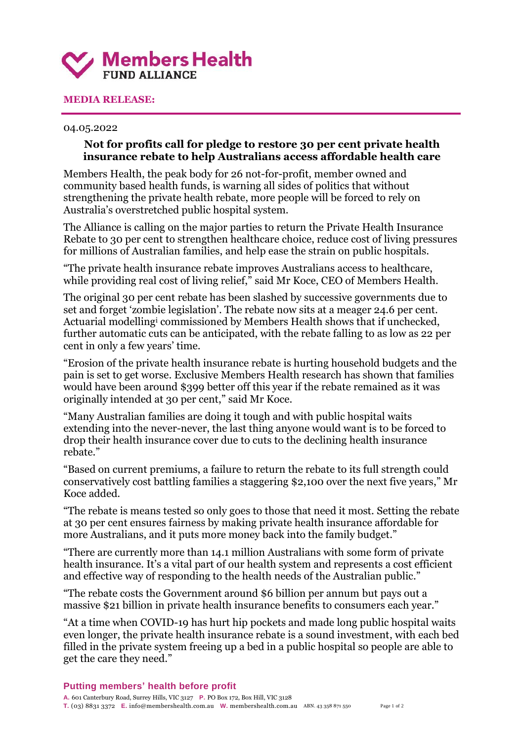

## **MEDIA RELEASE:**

04.05.2022

## **Not for profits call for pledge to restore 30 per cent private health insurance rebate to help Australians access affordable health care**

Members Health, the peak body for 26 not-for-profit, member owned and community based health funds, is warning all sides of politics that without strengthening the private health rebate, more people will be forced to rely on Australia's overstretched public hospital system.

The Alliance is calling on the major parties to return the Private Health Insurance Rebate to 30 per cent to strengthen healthcare choice, reduce cost of living pressures for millions of Australian families, and help ease the strain on public hospitals.

"The private health insurance rebate improves Australians access to healthcare, while providing real cost of living relief," said Mr Koce, CEO of Members Health.

The original 30 per cent rebate has been slashed by successive governments due to set and forget 'zombie legislation'. The rebate now sits at a meager 24.6 per cent. Actuarial modelling<sup>i</sup> commissioned by Members Health shows that if unchecked, further automatic cuts can be anticipated, with the rebate falling to as low as 22 per cent in only a few years' time.

"Erosion of the private health insurance rebate is hurting household budgets and the pain is set to get worse. Exclusive Members Health research has shown that families would have been around \$399 better off this year if the rebate remained as it was originally intended at 30 per cent," said Mr Koce.

"Many Australian families are doing it tough and with public hospital waits extending into the never-never, the last thing anyone would want is to be forced to drop their health insurance cover due to cuts to the declining health insurance rebate."

"Based on current premiums, a failure to return the rebate to its full strength could conservatively cost battling families a staggering \$2,100 over the next five years," Mr Koce added.

"The rebate is means tested so only goes to those that need it most. Setting the rebate at 30 per cent ensures fairness by making private health insurance affordable for more Australians, and it puts more money back into the family budget."

"There are currently more than 14.1 million Australians with some form of private health insurance. It's a vital part of our health system and represents a cost efficient and effective way of responding to the health needs of the Australian public."

"The rebate costs the Government around \$6 billion per annum but pays out a massive \$21 billion in private health insurance benefits to consumers each year."

"At a time when COVID-19 has hurt hip pockets and made long public hospital waits even longer, the private health insurance rebate is a sound investment, with each bed filled in the private system freeing up a bed in a public hospital so people are able to get the care they need."

**Putting members' health before profit**